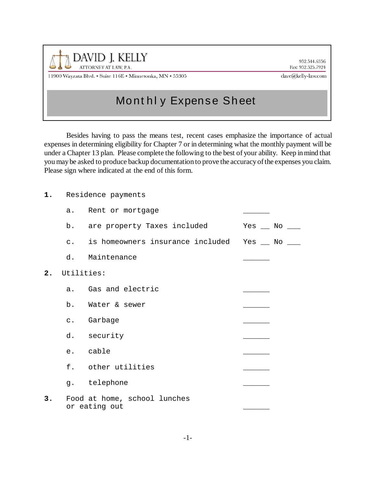

952.544.6356 Fax: 952.525.7924

11900 Wayzata Blvd. • Suite 116E • Minnetonka, MN • 55305

dave@kelly-law.com

## Mont hl y Expense Sheet

Besides having to pass the means test, recent cases emphasize the importance of actual expenses in determining eligibility for Chapter 7 or in determining what the monthly payment will be under a Chapter 13 plan. Please complete the following to the best of your ability. Keep in mind that you may be asked to produce backup documentation to prove the accuracy of the expenses you claim. Please sign where indicated at the end of this form.

**2.** Utilities:

|    | a.             | Rent or mortgage                                  |                     |
|----|----------------|---------------------------------------------------|---------------------|
|    |                | b. are property Taxes included                    | $Yes \_\$ No $\_\_$ |
|    |                | c. is homeowners insurance included Yes __ No ___ |                     |
|    |                | d. Maintenance                                    |                     |
| 2. |                | Utilities:                                        |                     |
|    |                | a. Gas and electric                               |                     |
|    |                | b. Water & sewer                                  |                     |
|    | $\mathsf{C}$ . | Garbage                                           |                     |
|    |                | d. security                                       |                     |
|    |                | e. cable                                          |                     |
|    |                | f. other utilities                                |                     |
|    |                | g. telephone                                      |                     |
| 3. |                | Food at home, school lunches<br>or eating out     |                     |
|    |                |                                                   |                     |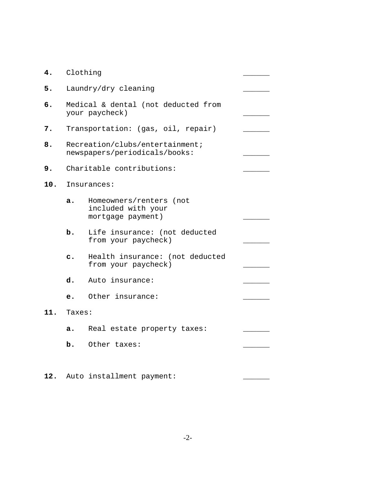| 4.  | Clothing                                                         |                                                                       |  |  |
|-----|------------------------------------------------------------------|-----------------------------------------------------------------------|--|--|
| 5.  | Laundry/dry cleaning                                             |                                                                       |  |  |
| б.  | Medical & dental (not deducted from<br>your paycheck)            |                                                                       |  |  |
| 7.  | Transportation: (gas, oil, repair)                               |                                                                       |  |  |
| 8.  | Recreation/clubs/entertainment;<br>newspapers/periodicals/books: |                                                                       |  |  |
| 9.  | Charitable contributions:                                        |                                                                       |  |  |
| 10. | Insurances:                                                      |                                                                       |  |  |
|     | a.                                                               | Homeowners/renters<br>(not<br>included with your<br>mortgage payment) |  |  |
|     | b.                                                               | Life insurance: (not deducted<br>from your paycheck)                  |  |  |
|     | $\mathbf{c}$ .                                                   | Health insurance: (not deducted<br>from your paycheck)                |  |  |
|     | d.                                                               | Auto insurance:                                                       |  |  |
|     | е.                                                               | Other insurance:                                                      |  |  |
| 11. | Taxes:                                                           |                                                                       |  |  |
|     | a.                                                               | Real estate property taxes:                                           |  |  |
|     | b.                                                               | Other taxes:                                                          |  |  |
|     |                                                                  |                                                                       |  |  |

**12.** Auto installment payment: \_\_\_\_\_\_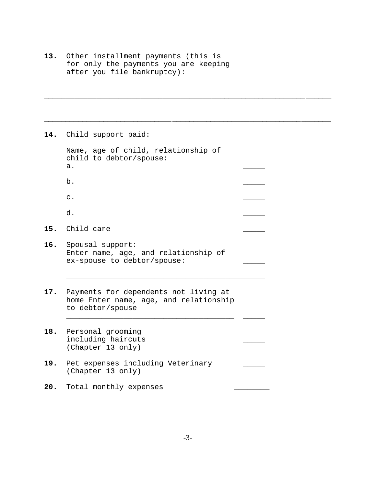**13.** Other installment payments (this is for only the payments you are keeping after you file bankruptcy):

**14.** Child support paid:

 Name, age of child, relationship of child to debtor/spouse: a. \_\_\_\_\_ b. \_\_\_\_\_ c.

\_\_\_\_\_\_\_\_\_\_\_\_\_\_\_\_\_\_\_\_\_\_\_\_\_\_\_\_\_\_\_\_\_\_\_\_\_\_\_\_\_\_\_\_\_\_\_\_\_\_\_\_\_\_\_\_\_\_\_\_\_\_\_\_\_\_

\_\_\_\_\_\_\_\_\_\_\_\_\_\_\_\_\_\_\_\_\_\_\_\_\_\_\_\_\_\_\_\_\_\_\_\_\_\_\_\_\_\_\_\_\_\_\_\_\_\_\_\_\_\_\_\_\_\_\_\_\_\_\_\_\_\_\_

d.

**15.** Child care \_\_\_\_\_

- **16.** Spousal support: Enter name, age, and relationship of ex-spouse to debtor/spouse:
- **17.** Payments for dependents not living at home Enter name, age, and relationship to debtor/spouse

\_\_\_\_\_\_\_\_\_\_\_\_\_\_\_\_\_\_\_\_\_\_\_\_\_\_\_\_\_\_\_\_\_\_\_\_\_\_ \_\_\_\_\_

\_\_\_\_\_\_\_\_\_\_\_\_\_\_\_\_\_\_\_\_\_\_\_\_\_\_\_\_\_\_\_\_\_\_\_\_\_\_\_\_\_\_\_\_\_

- **18.** Personal grooming including haircuts \_\_\_\_\_ (Chapter 13 only)
- 19. Pet expenses including Veterinary (Chapter 13 only)
- 20. Total monthly expenses